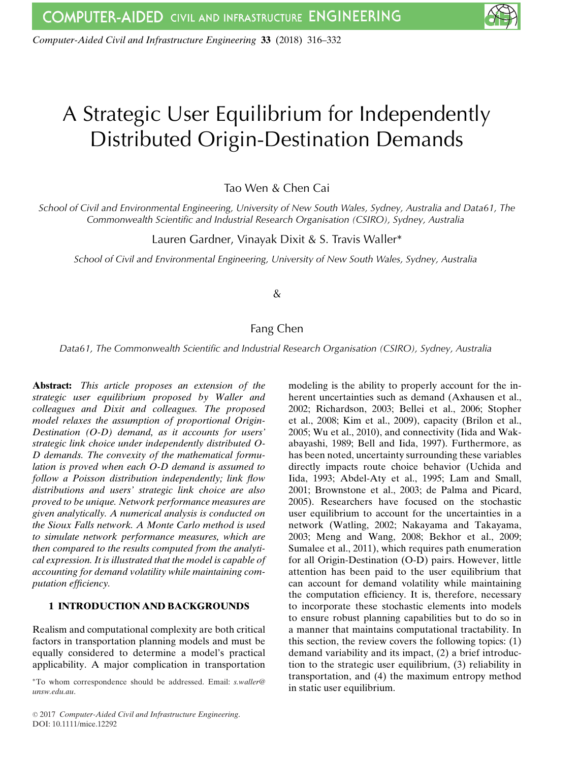*Computer-Aided Civil and Infrastructure Engineering* **33** (2018) 316–332

# A Strategic User Equilibrium for Independently Distributed Origin-Destination Demands

Tao Wen & Chen Cai

*School of Civil and Environmental Engineering, University of New South Wales, Sydney, Australia and Data61, The Commonwealth Scientific and Industrial Research Organisation (CSIRO), Sydney, Australia*

Lauren Gardner, Vinayak Dixit & S. Travis Waller\*

*School of Civil and Environmental Engineering, University of New South Wales, Sydney, Australia*

## &

# Fang Chen

*Data61, The Commonwealth Scientific and Industrial Research Organisation (CSIRO), Sydney, Australia*

**Abstract:** *This article proposes an extension of the strategic user equilibrium proposed by Waller and colleagues and Dixit and colleagues. The proposed model relaxes the assumption of proportional Origin-Destination (O-D) demand, as it accounts for users' strategic link choice under independently distributed O-D demands. The convexity of the mathematical formulation is proved when each O-D demand is assumed to follow a Poisson distribution independently; link flow distributions and users' strategic link choice are also proved to be unique. Network performance measures are given analytically. A numerical analysis is conducted on the Sioux Falls network. A Monte Carlo method is used to simulate network performance measures, which are then compared to the results computed from the analytical expression. It is illustrated that the model is capable of accounting for demand volatility while maintaining computation efficiency.*

## **1 INTRODUCTION AND BACKGROUNDS**

Realism and computational complexity are both critical factors in transportation planning models and must be equally considered to determine a model's practical applicability. A major complication in transportation

∗To whom correspondence should be addressed. Email: *s.waller@ unsw.edu.au*.

modeling is the ability to properly account for the inherent uncertainties such as demand (Axhausen et al., 2002; Richardson, 2003; Bellei et al., 2006; Stopher et al., 2008; Kim et al., 2009), capacity (Brilon et al., 2005; Wu et al., 2010), and connectivity (Iida and Wakabayashi, 1989; Bell and Iida, 1997). Furthermore, as has been noted, uncertainty surrounding these variables directly impacts route choice behavior (Uchida and Iida, 1993; Abdel-Aty et al., 1995; Lam and Small, 2001; Brownstone et al., 2003; de Palma and Picard, 2005). Researchers have focused on the stochastic user equilibrium to account for the uncertainties in a network (Watling, 2002; Nakayama and Takayama, 2003; Meng and Wang, 2008; Bekhor et al., 2009; Sumalee et al., 2011), which requires path enumeration for all Origin-Destination (O-D) pairs. However, little attention has been paid to the user equilibrium that can account for demand volatility while maintaining the computation efficiency. It is, therefore, necessary to incorporate these stochastic elements into models to ensure robust planning capabilities but to do so in a manner that maintains computational tractability. In this section, the review covers the following topics: (1) demand variability and its impact, (2) a brief introduction to the strategic user equilibrium, (3) reliability in transportation, and (4) the maximum entropy method in static user equilibrium.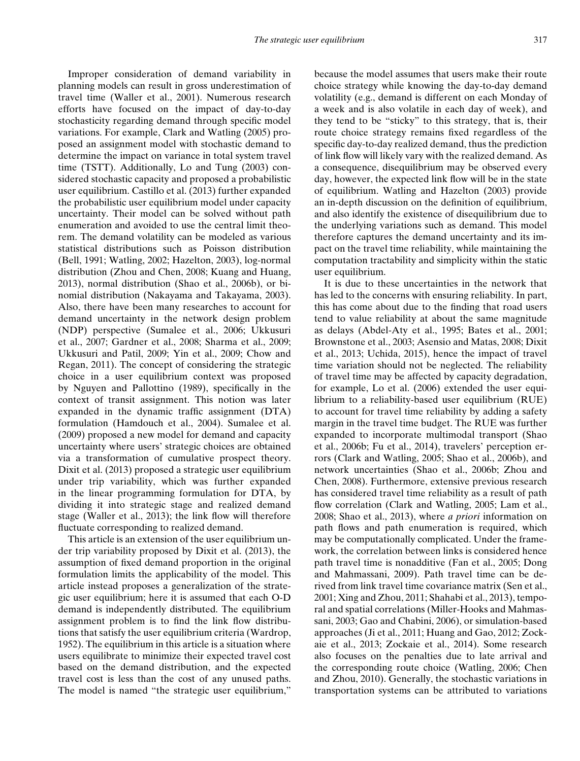Improper consideration of demand variability in planning models can result in gross underestimation of travel time (Waller et al., 2001). Numerous research efforts have focused on the impact of day-to-day stochasticity regarding demand through specific model variations. For example, Clark and Watling (2005) proposed an assignment model with stochastic demand to determine the impact on variance in total system travel time (TSTT). Additionally, Lo and Tung (2003) considered stochastic capacity and proposed a probabilistic user equilibrium. Castillo et al. (2013) further expanded the probabilistic user equilibrium model under capacity uncertainty. Their model can be solved without path enumeration and avoided to use the central limit theorem. The demand volatility can be modeled as various statistical distributions such as Poisson distribution (Bell, 1991; Watling, 2002; Hazelton, 2003), log-normal distribution (Zhou and Chen, 2008; Kuang and Huang, 2013), normal distribution (Shao et al., 2006b), or binomial distribution (Nakayama and Takayama, 2003). Also, there have been many researches to account for demand uncertainty in the network design problem (NDP) perspective (Sumalee et al., 2006; Ukkusuri et al., 2007; Gardner et al., 2008; Sharma et al., 2009; Ukkusuri and Patil, 2009; Yin et al., 2009; Chow and Regan, 2011). The concept of considering the strategic choice in a user equilibrium context was proposed by Nguyen and Pallottino (1989), specifically in the context of transit assignment. This notion was later expanded in the dynamic traffic assignment (DTA) formulation (Hamdouch et al., 2004). Sumalee et al. (2009) proposed a new model for demand and capacity uncertainty where users' strategic choices are obtained via a transformation of cumulative prospect theory. Dixit et al. (2013) proposed a strategic user equilibrium under trip variability, which was further expanded in the linear programming formulation for DTA, by dividing it into strategic stage and realized demand stage (Waller et al., 2013); the link flow will therefore fluctuate corresponding to realized demand.

This article is an extension of the user equilibrium under trip variability proposed by Dixit et al. (2013), the assumption of fixed demand proportion in the original formulation limits the applicability of the model. This article instead proposes a generalization of the strategic user equilibrium; here it is assumed that each O-D demand is independently distributed. The equilibrium assignment problem is to find the link flow distributions that satisfy the user equilibrium criteria (Wardrop, 1952). The equilibrium in this article is a situation where users equilibrate to minimize their expected travel cost based on the demand distribution, and the expected travel cost is less than the cost of any unused paths. The model is named "the strategic user equilibrium,"

because the model assumes that users make their route choice strategy while knowing the day-to-day demand volatility (e.g., demand is different on each Monday of a week and is also volatile in each day of week), and they tend to be "sticky" to this strategy, that is, their route choice strategy remains fixed regardless of the specific day-to-day realized demand, thus the prediction of link flow will likely vary with the realized demand. As a consequence, disequilibrium may be observed every day, however, the expected link flow will be in the state of equilibrium. Watling and Hazelton (2003) provide an in-depth discussion on the definition of equilibrium, and also identify the existence of disequilibrium due to the underlying variations such as demand. This model therefore captures the demand uncertainty and its impact on the travel time reliability, while maintaining the computation tractability and simplicity within the static user equilibrium.

It is due to these uncertainties in the network that has led to the concerns with ensuring reliability. In part, this has come about due to the finding that road users tend to value reliability at about the same magnitude as delays (Abdel-Aty et al., 1995; Bates et al., 2001; Brownstone et al., 2003; Asensio and Matas, 2008; Dixit et al., 2013; Uchida, 2015), hence the impact of travel time variation should not be neglected. The reliability of travel time may be affected by capacity degradation, for example, Lo et al. (2006) extended the user equilibrium to a reliability-based user equilibrium (RUE) to account for travel time reliability by adding a safety margin in the travel time budget. The RUE was further expanded to incorporate multimodal transport (Shao et al., 2006b; Fu et al., 2014), travelers' perception errors (Clark and Watling, 2005; Shao et al., 2006b), and network uncertainties (Shao et al., 2006b; Zhou and Chen, 2008). Furthermore, extensive previous research has considered travel time reliability as a result of path flow correlation (Clark and Watling, 2005; Lam et al., 2008; Shao et al., 2013), where *a priori* information on path flows and path enumeration is required, which may be computationally complicated. Under the framework, the correlation between links is considered hence path travel time is nonadditive (Fan et al., 2005; Dong and Mahmassani, 2009). Path travel time can be derived from link travel time covariance matrix (Sen et al., 2001; Xing and Zhou, 2011; Shahabi et al., 2013), temporal and spatial correlations (Miller-Hooks and Mahmassani, 2003; Gao and Chabini, 2006), or simulation-based approaches (Ji et al., 2011; Huang and Gao, 2012; Zockaie et al., 2013; Zockaie et al., 2014). Some research also focuses on the penalties due to late arrival and the corresponding route choice (Watling, 2006; Chen and Zhou, 2010). Generally, the stochastic variations in transportation systems can be attributed to variations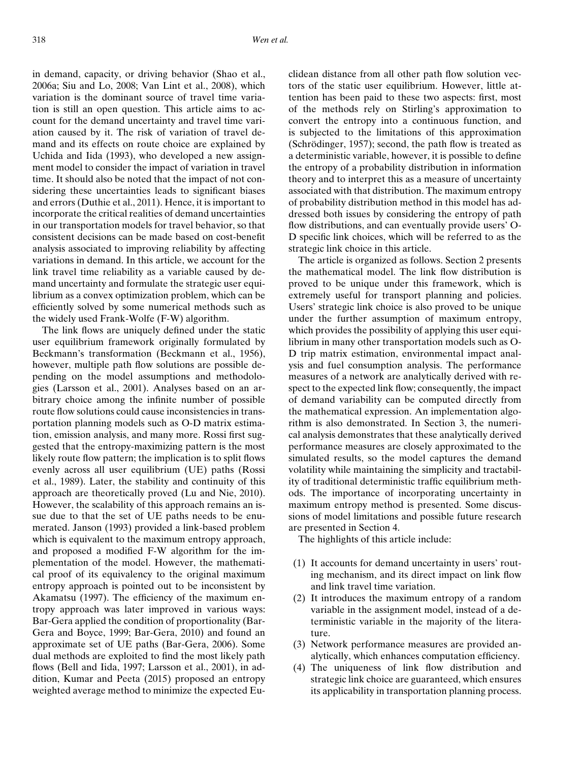in demand, capacity, or driving behavior (Shao et al., 2006a; Siu and Lo, 2008; Van Lint et al., 2008), which variation is the dominant source of travel time variation is still an open question. This article aims to account for the demand uncertainty and travel time variation caused by it. The risk of variation of travel demand and its effects on route choice are explained by Uchida and Iida (1993), who developed a new assignment model to consider the impact of variation in travel time. It should also be noted that the impact of not considering these uncertainties leads to significant biases and errors (Duthie et al., 2011). Hence, it is important to incorporate the critical realities of demand uncertainties in our transportation models for travel behavior, so that consistent decisions can be made based on cost-benefit analysis associated to improving reliability by affecting variations in demand. In this article, we account for the link travel time reliability as a variable caused by demand uncertainty and formulate the strategic user equilibrium as a convex optimization problem, which can be efficiently solved by some numerical methods such as the widely used Frank-Wolfe (F-W) algorithm.

The link flows are uniquely defined under the static user equilibrium framework originally formulated by Beckmann's transformation (Beckmann et al., 1956), however, multiple path flow solutions are possible depending on the model assumptions and methodologies (Larsson et al., 2001). Analyses based on an arbitrary choice among the infinite number of possible route flow solutions could cause inconsistencies in transportation planning models such as O-D matrix estimation, emission analysis, and many more. Rossi first suggested that the entropy-maximizing pattern is the most likely route flow pattern; the implication is to split flows evenly across all user equilibrium (UE) paths (Rossi et al., 1989). Later, the stability and continuity of this approach are theoretically proved (Lu and Nie, 2010). However, the scalability of this approach remains an issue due to that the set of UE paths needs to be enumerated. Janson (1993) provided a link-based problem which is equivalent to the maximum entropy approach, and proposed a modified F-W algorithm for the implementation of the model. However, the mathematical proof of its equivalency to the original maximum entropy approach is pointed out to be inconsistent by Akamatsu (1997). The efficiency of the maximum entropy approach was later improved in various ways: Bar-Gera applied the condition of proportionality (Bar-Gera and Boyce, 1999; Bar-Gera, 2010) and found an approximate set of UE paths (Bar-Gera, 2006). Some dual methods are exploited to find the most likely path flows (Bell and Iida, 1997; Larsson et al., 2001), in addition, Kumar and Peeta (2015) proposed an entropy weighted average method to minimize the expected Euclidean distance from all other path flow solution vectors of the static user equilibrium. However, little attention has been paid to these two aspects: first, most of the methods rely on Stirling's approximation to convert the entropy into a continuous function, and is subjected to the limitations of this approximation (Schrödinger, 1957); second, the path flow is treated as a deterministic variable, however, it is possible to define the entropy of a probability distribution in information theory and to interpret this as a measure of uncertainty associated with that distribution. The maximum entropy of probability distribution method in this model has addressed both issues by considering the entropy of path flow distributions, and can eventually provide users' O-D specific link choices, which will be referred to as the strategic link choice in this article.

The article is organized as follows. Section 2 presents the mathematical model. The link flow distribution is proved to be unique under this framework, which is extremely useful for transport planning and policies. Users' strategic link choice is also proved to be unique under the further assumption of maximum entropy, which provides the possibility of applying this user equilibrium in many other transportation models such as O-D trip matrix estimation, environmental impact analysis and fuel consumption analysis. The performance measures of a network are analytically derived with respect to the expected link flow; consequently, the impact of demand variability can be computed directly from the mathematical expression. An implementation algorithm is also demonstrated. In Section 3, the numerical analysis demonstrates that these analytically derived performance measures are closely approximated to the simulated results, so the model captures the demand volatility while maintaining the simplicity and tractability of traditional deterministic traffic equilibrium methods. The importance of incorporating uncertainty in maximum entropy method is presented. Some discussions of model limitations and possible future research are presented in Section 4.

The highlights of this article include:

- (1) It accounts for demand uncertainty in users' routing mechanism, and its direct impact on link flow and link travel time variation.
- (2) It introduces the maximum entropy of a random variable in the assignment model, instead of a deterministic variable in the majority of the literature.
- (3) Network performance measures are provided analytically, which enhances computation efficiency.
- (4) The uniqueness of link flow distribution and strategic link choice are guaranteed, which ensures its applicability in transportation planning process.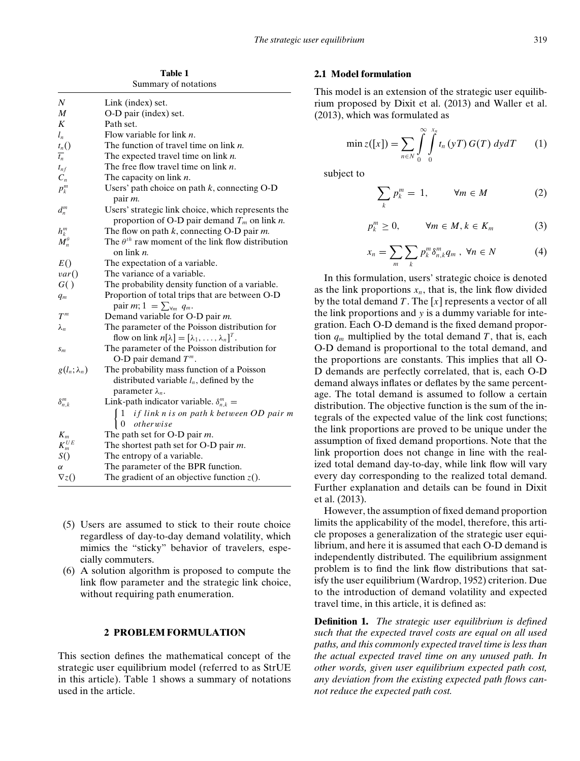**Table 1** Summary of notations

| N                                                 | Link (index) set.                                                                                            |
|---------------------------------------------------|--------------------------------------------------------------------------------------------------------------|
| $\boldsymbol{M}$                                  | O-D pair (index) set.                                                                                        |
| K                                                 | Path set.                                                                                                    |
| $l_n$                                             | Flow variable for link $n$ .                                                                                 |
| $t_n()$                                           | The function of travel time on link $n$ .                                                                    |
| $\overline{t_n}$                                  | The expected travel time on link $n$ .                                                                       |
| $t_{nf}$                                          | The free flow travel time on link $n$ .                                                                      |
| $\mathfrak{C}_n$                                  | The capacity on link $n$ .                                                                                   |
| $p_k^m$                                           | Users' path choice on path $k$ , connecting O-D<br>pair <i>m</i> .                                           |
| $d_n^m$                                           | Users' strategic link choice, which represents the<br>proportion of O-D pair demand $T_m$ on link <i>n</i> . |
|                                                   | The flow on path $k$ , connecting O-D pair $m$ .                                                             |
| $\begin{array}{c} h_k^m \ M_n^\theta \end{array}$ | The $\theta^{th}$ raw moment of the link flow distribution<br>on link $n$ .                                  |
| E()                                               | The expectation of a variable.                                                                               |
| var()                                             | The variance of a variable.                                                                                  |
| G()                                               | The probability density function of a variable.                                                              |
| $q_m$                                             | Proportion of total trips that are between O-D                                                               |
|                                                   | pair $m; 1 = \sum_{\forall m} q_m$ .                                                                         |
| $T^m$                                             | Demand variable for O-D pair m.                                                                              |
| $\lambda_n$                                       | The parameter of the Poisson distribution for                                                                |
|                                                   | flow on link $n[\lambda] = [\lambda_1, \ldots, \lambda_n]^T$ .                                               |
| $S_m$                                             | The parameter of the Poisson distribution for                                                                |
|                                                   | O-D pair demand $T^m$ .                                                                                      |
| $g(l_n; \lambda_n)$                               | The probability mass function of a Poisson                                                                   |
|                                                   | distributed variable $l_n$ , defined by the<br>parameter $\lambda_n$ .                                       |
| $\delta_{n,k}^m$                                  | Link-path indicator variable. $\delta_{n,k}^m =$                                                             |
|                                                   | if link n is on path k between OD pair m<br>otherwise                                                        |
| $K_m$                                             | The path set for O-D pair $m$ .                                                                              |
| ${\cal K}_m^{UE}$                                 | The shortest path set for O-D pair $m$ .                                                                     |
| S()                                               | The entropy of a variable.                                                                                   |
| α                                                 | The parameter of the BPR function.                                                                           |
| $\nabla z()$                                      | The gradient of an objective function $z()$ .                                                                |
|                                                   |                                                                                                              |

- (5) Users are assumed to stick to their route choice regardless of day-to-day demand volatility, which mimics the "sticky" behavior of travelers, especially commuters.
- (6) A solution algorithm is proposed to compute the link flow parameter and the strategic link choice, without requiring path enumeration.

## **2 PROBLEM FORMULATION**

This section defines the mathematical concept of the strategic user equilibrium model (referred to as StrUE in this article). Table 1 shows a summary of notations used in the article.

## **2.1 Model formulation**

This model is an extension of the strategic user equilibrium proposed by Dixit et al. (2013) and Waller et al. (2013), which was formulated as

$$
\min z([x]) = \sum_{n \in N} \int_{0}^{\infty} \int_{0}^{x_n} t_n(yT) G(T) dy dT \qquad (1)
$$

subject to

$$
\sum_{k} p_k^m = 1, \qquad \forall m \in M \tag{2}
$$

$$
p_k^m \ge 0, \qquad \forall m \in M, k \in K_m \tag{3}
$$

$$
x_n = \sum_m \sum_k p_k^m \delta_{n,k}^m q_m , \ \forall n \in N \tag{4}
$$

In this formulation, users' strategic choice is denoted as the link proportions  $x_n$ , that is, the link flow divided by the total demand *T* . The [*x*] represents a vector of all the link proportions and *y* is a dummy variable for integration. Each O-D demand is the fixed demand proportion  $q_m$  multiplied by the total demand *T*, that is, each O-D demand is proportional to the total demand, and the proportions are constants. This implies that all O-D demands are perfectly correlated, that is, each O-D demand always inflates or deflates by the same percentage. The total demand is assumed to follow a certain distribution. The objective function is the sum of the integrals of the expected value of the link cost functions; the link proportions are proved to be unique under the assumption of fixed demand proportions. Note that the link proportion does not change in line with the realized total demand day-to-day, while link flow will vary every day corresponding to the realized total demand. Further explanation and details can be found in Dixit et al. (2013).

However, the assumption of fixed demand proportion limits the applicability of the model, therefore, this article proposes a generalization of the strategic user equilibrium, and here it is assumed that each O-D demand is independently distributed. The equilibrium assignment problem is to find the link flow distributions that satisfy the user equilibrium (Wardrop, 1952) criterion. Due to the introduction of demand volatility and expected travel time, in this article, it is defined as:

**Definition 1.** *The strategic user equilibrium is defined such that the expected travel costs are equal on all used paths, and this commonly expected travel time is less than the actual expected travel time on any unused path. In other words, given user equilibrium expected path cost, any deviation from the existing expected path flows cannot reduce the expected path cost.*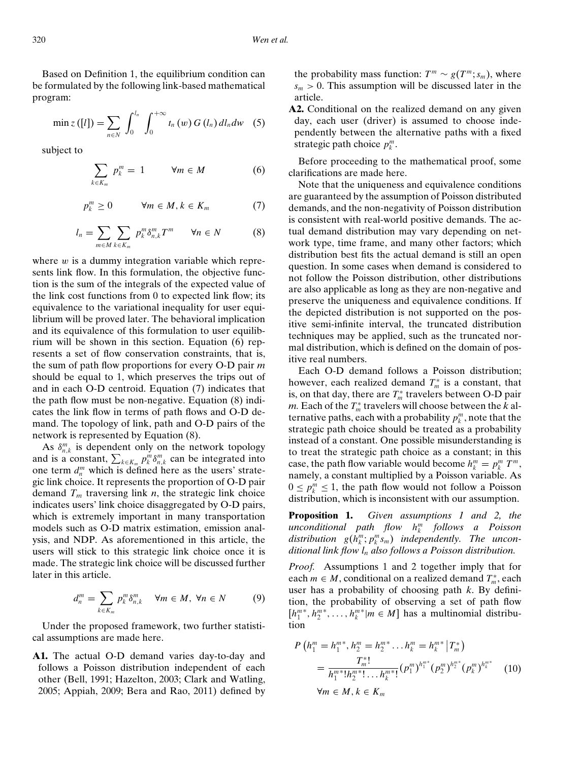Based on Definition 1, the equilibrium condition can be formulated by the following link-based mathematical program:

$$
\min z([l]) = \sum_{n \in N} \int_0^{l_n} \int_0^{+\infty} t_n(w) G(l_n) dl_n dw \quad (5)
$$

subject to

$$
\sum_{k \in K_m} p_k^m = 1 \qquad \forall m \in M \tag{6}
$$

$$
p_k^m \ge 0 \qquad \forall m \in M, k \in K_m \tag{7}
$$

$$
l_n = \sum_{m \in M} \sum_{k \in K_m} p_k^m \delta_{n,k}^m T^m \qquad \forall n \in N \tag{8}
$$

where  $w$  is a dummy integration variable which represents link flow. In this formulation, the objective function is the sum of the integrals of the expected value of the link cost functions from 0 to expected link flow; its equivalence to the variational inequality for user equilibrium will be proved later. The behavioral implication and its equivalence of this formulation to user equilibrium will be shown in this section. Equation (6) represents a set of flow conservation constraints, that is, the sum of path flow proportions for every O-D pair *m* should be equal to 1, which preserves the trips out of and in each O-D centroid. Equation (7) indicates that the path flow must be non-negative. Equation (8) indicates the link flow in terms of path flows and O-D demand. The topology of link, path and O-D pairs of the network is represented by Equation (8).

As  $\delta_{n,k}^m$  is dependent only on the network topology and is a constant,  $\sum_{k \in K_m} p_k^m \delta_{n,k}^m$  can be integrated into one term  $d_n^m$  which is defined here as the users' strategic link choice. It represents the proportion of O-D pair demand  $T_m$  traversing link *n*, the strategic link choice indicates users' link choice disaggregated by O-D pairs, which is extremely important in many transportation models such as O-D matrix estimation, emission analysis, and NDP. As aforementioned in this article, the users will stick to this strategic link choice once it is made. The strategic link choice will be discussed further later in this article.

$$
d_n^m = \sum_{k \in K_m} p_k^m \delta_{n,k}^m \quad \forall m \in M, \ \forall n \in N \tag{9}
$$

Under the proposed framework, two further statistical assumptions are made here.

**A1.** The actual O-D demand varies day-to-day and follows a Poisson distribution independent of each other (Bell, 1991; Hazelton, 2003; Clark and Watling, 2005; Appiah, 2009; Bera and Rao, 2011) defined by the probability mass function:  $T^m \sim g(T^m; s_m)$ , where  $s_m > 0$ . This assumption will be discussed later in the article.

**A2.** Conditional on the realized demand on any given day, each user (driver) is assumed to choose independently between the alternative paths with a fixed strategic path choice  $p_k^m$ .

Before proceeding to the mathematical proof, some clarifications are made here.

Note that the uniqueness and equivalence conditions are guaranteed by the assumption of Poisson distributed demands, and the non-negativity of Poisson distribution is consistent with real-world positive demands. The actual demand distribution may vary depending on network type, time frame, and many other factors; which distribution best fits the actual demand is still an open question. In some cases when demand is considered to not follow the Poisson distribution, other distributions are also applicable as long as they are non-negative and preserve the uniqueness and equivalence conditions. If the depicted distribution is not supported on the positive semi-infinite interval, the truncated distribution techniques may be applied, such as the truncated normal distribution, which is defined on the domain of positive real numbers.

Each O-D demand follows a Poisson distribution; however, each realized demand  $T_m^*$  is a constant, that is, on that day, there are  $T_m^*$  travelers between O-D pair *m*. Each of the  $T_m^*$  travelers will choose between the  $k$  alternative paths, each with a probability  $p_k^m$ , note that the strategic path choice should be treated as a probability instead of a constant. One possible misunderstanding is to treat the strategic path choice as a constant; in this case, the path flow variable would become  $h_k^m = p_k^m T^m$ , namely, a constant multiplied by a Poisson variable. As  $0 \le p_k^m \le 1$ , the path flow would not follow a Poisson distribution, which is inconsistent with our assumption.

**Proposition 1.** *Given assumptions 1 and 2, the unconditional path flow h<sup>m</sup> <sup>k</sup> follows a Poisson*  $distriolution \quad g(h_k^m; p_k^m s_m) \quad independently.$  *The unconditional link flow ln also follows a Poisson distribution.*

*Proof.* Assumptions 1 and 2 together imply that for each  $m \in M$ , conditional on a realized demand  $T_m^*$ , each user has a probability of choosing path *k*. By definition, the probability of observing a set of path flow  $[h_1^{m*}, h_2^{m*}, \dots, h_k^{m*} | m \in M]$  has a multinomial distribution

$$
P\left(h_1^m = h_1^{m*}, h_2^m = h_2^{m*} \dots h_k^m = h_k^{m*} | T_m^* \right)
$$
  
= 
$$
\frac{T_m^*!}{h_1^{m*}! h_2^{m*}! \dots h_k^{m*}!} (p_1^m)^{h_1^{m*}} (p_2^m)^{h_2^{m*}} (p_k^m)^{h_k^{m*}}
$$
 (10)  

$$
\forall m \in M, k \in K_m
$$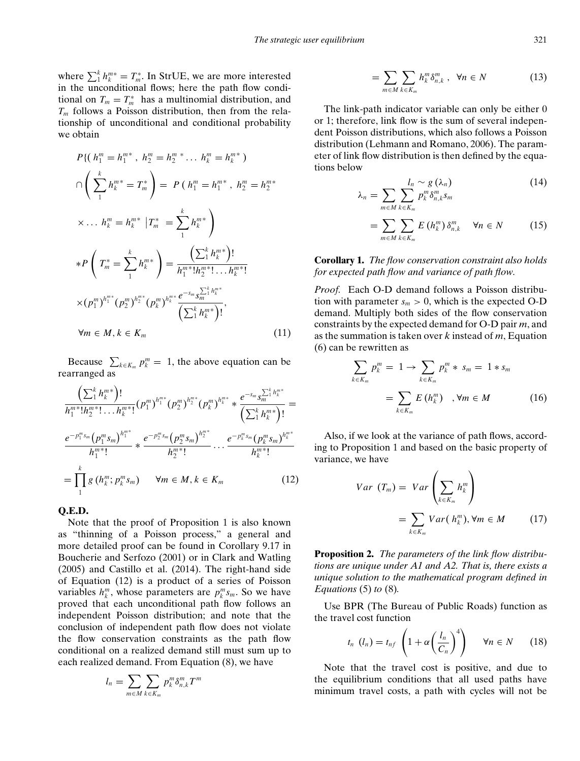where  $\sum_{i=1}^{k} h_{k}^{m*} = T_{m}^{*}$ . In StrUE, we are more interested in the unconditional flows; here the path flow conditional on  $T_m = T_m^*$  has a multinomial distribution, and *Tm* follows a Poisson distribution, then from the relationship of unconditional and conditional probability we obtain

$$
P\{(h_1^m = h_1^{m*}, h_2^m = h_2^{m*} \dots h_k^m = h_k^{m*})
$$
\n
$$
\cap \left(\sum_{1}^{k} h_k^{m*} = T_m^*\right) = P\left(h_1^m = h_1^{m*}, h_2^m = h_2^{m*}
$$
\n
$$
\times \dots h_k^m = h_k^{m*} |T_m^* = \sum_{1}^{k} h_k^{m*}
$$
\n
$$
*P\left(T_m^* = \sum_{1}^{k} h_k^{m*}\right) = \frac{\left(\sum_{1}^{k} h_k^{m*}\right)!}{h_1^{m*}! h_2^{m*}! \dots h_k^{m*}!}
$$
\n
$$
\times (p_1^m)^{h_1^{m*}} (p_2^m)^{h_2^{m*}} (p_k^m)^{h_k^{m*}} \frac{e^{-s_m} s_m^{\sum_{1}^{k} h_k^{m*}}}{\left(\sum_{1}^{k} h_k^{m*}\right)!},
$$
\n
$$
\forall m \in M, k \in K_m
$$
\n(11)

Because  $\sum_{k \in K_m} p_k^m = 1$ , the above equation can be rearranged as

$$
\frac{\left(\sum_{1}^{k} h_{k}^{m*}\right)!}{h_{1}^{m*}!h_{2}^{m*}! \cdots h_{k}^{m*}!} (p_{1}^{m})^{h_{1}^{m*}} (p_{2}^{m})^{h_{2}^{m*}} (p_{k}^{m})^{h_{k}^{m*}} * \frac{e^{-s_{m}} s_{m}^{\sum_{1}^{k} h_{k}^{m*}}}{\left(\sum_{1}^{k} h_{k}^{m*}\right)!} =
$$
\n
$$
\frac{e^{-p_{1}^{m} s_{m}} (p_{1}^{m} s_{m})^{h_{1}^{m*}}}{h_{1}^{m*}!} * \frac{e^{-p_{2}^{m} s_{m}} (p_{2}^{m} s_{m})^{h_{2}^{m*}}}{h_{2}^{m*}!} \cdots \frac{e^{-p_{k}^{m} s_{m}} (p_{k}^{m} s_{m})^{h_{k}^{m*}}}{h_{k}^{m*}!}
$$
\n
$$
= \prod_{1}^{k} g\left(h_{k}^{m}; p_{k}^{m} s_{m}\right) \quad \forall m \in M, k \in K_{m} \tag{12}
$$

## **Q.E.D.**

Note that the proof of Proposition 1 is also known as "thinning of a Poisson process," a general and more detailed proof can be found in Corollary 9.17 in Boucherie and Serfozo (2001) or in Clark and Watling (2005) and Castillo et al. (2014). The right-hand side of Equation (12) is a product of a series of Poisson variables  $h_k^m$ , whose parameters are  $p_k^m s_m$ . So we have proved that each unconditional path flow follows an independent Poisson distribution; and note that the conclusion of independent path flow does not violate the flow conservation constraints as the path flow conditional on a realized demand still must sum up to each realized demand. From Equation (8), we have

$$
l_n = \sum_{m \in M} \sum_{k \in K_m} p_k^m \delta_{n,k}^m T^m
$$

$$
= \sum_{m \in M} \sum_{k \in K_m} h_k^m \delta_{n,k}^m, \ \ \forall n \in N \tag{13}
$$

The link-path indicator variable can only be either 0 or 1; therefore, link flow is the sum of several independent Poisson distributions, which also follows a Poisson distribution (Lehmann and Romano, 2006). The parameter of link flow distribution is then defined by the equations below

$$
\lambda_n = \sum_{m \in M} \sum_{k \in K_m} l_n \sim g(\lambda_n) \tag{14}
$$

$$
= \sum_{m \in M} \sum_{k \in K_m} E\left(h_k^m\right) \delta_{n,k}^m \quad \forall n \in N \tag{15}
$$

**Corollary 1.** *The flow conservation constraint also holds for expected path flow and variance of path flow.*

*Proof.* Each O-D demand follows a Poisson distribution with parameter  $s_m > 0$ , which is the expected O-D demand. Multiply both sides of the flow conservation constraints by the expected demand for O-D pair *m*, and as the summation is taken over *k* instead of *m*, Equation (6) can be rewritten as

$$
\sum_{k \in K_m} p_k^m = 1 \to \sum_{k \in K_m} p_k^m * s_m = 1 * s_m
$$

$$
= \sum_{k \in K_m} E(h_k^m) \quad , \forall m \in M \tag{16}
$$

Also, if we look at the variance of path flows, according to Proposition 1 and based on the basic property of variance, we have

$$
Var(T_m) = Var\left(\sum_{k \in K_m} h_k^m\right)
$$
  
= 
$$
\sum_{k \in K_m} Var(h_k^m), \forall m \in M
$$
 (17)

**Proposition 2.** *The parameters of the link flow distributions are unique under A1 and A2. That is, there exists a unique solution to the mathematical program defined in Equations* (5) *to* (8)*.*

Use BPR (The Bureau of Public Roads) function as the travel cost function

$$
t_n\ (l_n)=t_{nf}\left(1+\alpha\left(\frac{l_n}{C_n}\right)^4\right)\qquad\forall n\in N\qquad(18)
$$

Note that the travel cost is positive, and due to the equilibrium conditions that all used paths have minimum travel costs, a path with cycles will not be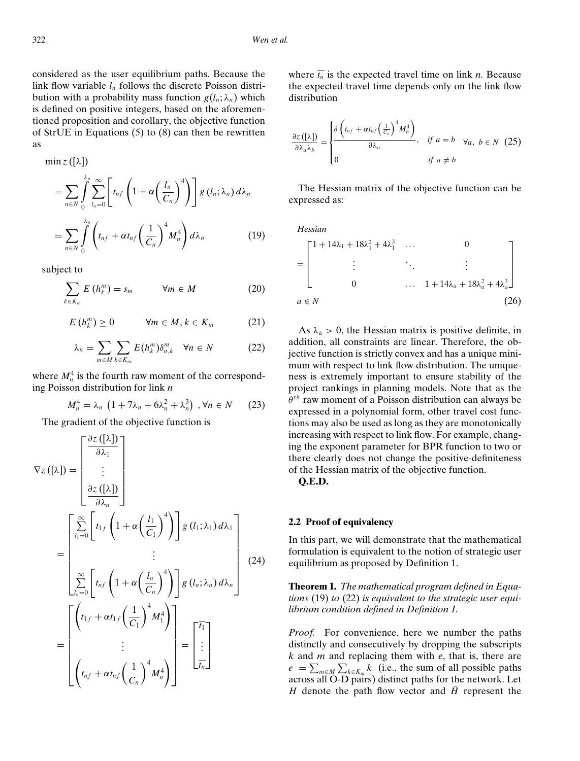considered as the user equilibrium paths. Because the link flow variable *ln* follows the discrete Poisson distribution with a probability mass function  $g(l_n; \lambda_n)$  which is defined on positive integers, based on the aforementioned proposition and corollary, the objective function of StrUE in Equations (5) to (8) can then be rewritten as

$$
\min z ([\lambda])
$$
\n
$$
= \sum_{n \in N} \int_{0}^{\lambda_n} \sum_{l_n=0}^{\infty} \left[ t_{nf} \left( 1 + \alpha \left( \frac{l_n}{C_n} \right)^4 \right) \right] g(l_n; \lambda_n) d\lambda_n
$$
\n
$$
= \sum_{n \in N} \int_{0}^{\lambda_n} \left( t_{nf} + \alpha t_{nf} \left( \frac{1}{C_n} \right)^4 M_n^4 \right) d\lambda_n \tag{19}
$$

subject to

$$
\sum_{k \in K_m} E\left(h_k^m\right) = s_m \qquad \forall m \in M \tag{20}
$$

$$
E\left(h_k^m\right) \geq 0 \qquad \forall m \in M, k \in K_m \tag{21}
$$

$$
\lambda_n = \sum_{m \in M} \sum_{k \in K_m} E(h_k^m) \delta_{n,k}^m \quad \forall n \in N \tag{22}
$$

where  $M_n^4$  is the fourth raw moment of the corresponding Poisson distribution for link *n*

$$
M_n^4 = \lambda_n \left( 1 + 7\lambda_n + 6\lambda_n^2 + \lambda_n^3 \right) , \forall n \in N \qquad (23)
$$

The gradient of the objective function is

$$
\nabla z([\lambda]) = \begin{bmatrix} \frac{\partial z([\lambda])}{\partial \lambda_1} \\ \vdots \\ \frac{\partial z([\lambda])}{\partial \lambda_n} \end{bmatrix}
$$
  
\n
$$
= \begin{bmatrix} \sum_{l_1=0}^{\infty} \left[ t_1 f\left(1 + \alpha \left(\frac{l_1}{C_1}\right)^4 \right) \right] g(l_1; \lambda_1) d\lambda_1 \\ \vdots \\ \sum_{l_n=0}^{\infty} \left[ t_n f\left(1 + \alpha \left(\frac{l_n}{C_n}\right)^4 \right) \right] g(l_n; \lambda_n) d\lambda_n \end{bmatrix}
$$
  
\n
$$
= \begin{bmatrix} \left( t_1 f + \alpha t_1 f\left(\frac{1}{C_1}\right)^4 M_1^4 \right) \\ \vdots \\ \left( t_n f + \alpha t_n f\left(\frac{1}{C_n}\right)^4 M_n^4 \right) \end{bmatrix} = \begin{bmatrix} \overline{t_1} \\ \vdots \\ \overline{t_n} \end{bmatrix}
$$

where  $\overline{t_n}$  is the expected travel time on link *n*. Because the expected travel time depends only on the link flow distribution

$$
\frac{\partial z\left([\lambda]\right)}{\partial \lambda_a \lambda_b} = \begin{cases} \frac{\partial \left(t_{nf} + \alpha t_{nf}\left(\frac{1}{C_n}\right)^4 M_b^4\right)}{\partial \lambda_a} & \text{if } a = b \quad \forall a, \ b \in N \end{cases} (25)
$$

The Hessian matrix of the objective function can be expressed as:

*Hessian*

$$
= \begin{bmatrix} 1 + 14\lambda_1 + 18\lambda_1^2 + 4\lambda_1^3 & \dots & 0 \\ \vdots & \ddots & \vdots \\ 0 & \dots & 1 + 14\lambda_a + 18\lambda_a^2 + 4\lambda_a^3 \end{bmatrix}
$$
  
 $a \in N$  (26)

As  $\lambda_a > 0$ , the Hessian matrix is positive definite, in addition, all constraints are linear. Therefore, the objective function is strictly convex and has a unique minimum with respect to link flow distribution. The uniqueness is extremely important to ensure stability of the project rankings in planning models. Note that as the θ*th* raw moment of a Poisson distribution can always be expressed in a polynomial form, other travel cost functions may also be used as long as they are monotonically increasing with respect to link flow. For example, changing the exponent parameter for BPR function to two or there clearly does not change the positive-definiteness of the Hessian matrix of the objective function.

**Q.E.D.**

#### **2.2 Proof of equivalency**

In this part, we will demonstrate that the mathematical formulation is equivalent to the notion of strategic user equilibrium as proposed by Definition 1.

**Theorem 1.** *The mathematical program defined in Equations* (19) *to* (22) *is equivalent to the strategic user equilibrium condition defined in Definition 1.*

*Proof.* For convenience, here we number the paths distinctly and consecutively by dropping the subscripts *k* and *m* and replacing them with *e*, that is, there are  $e = \sum_{m \in M} \sum_{k \in K_m} k$  (i.e., the sum of all possible paths across all O-D pairs) distinct paths for the network. Let *H* denote the path flow vector and  $\bar{H}$  represent the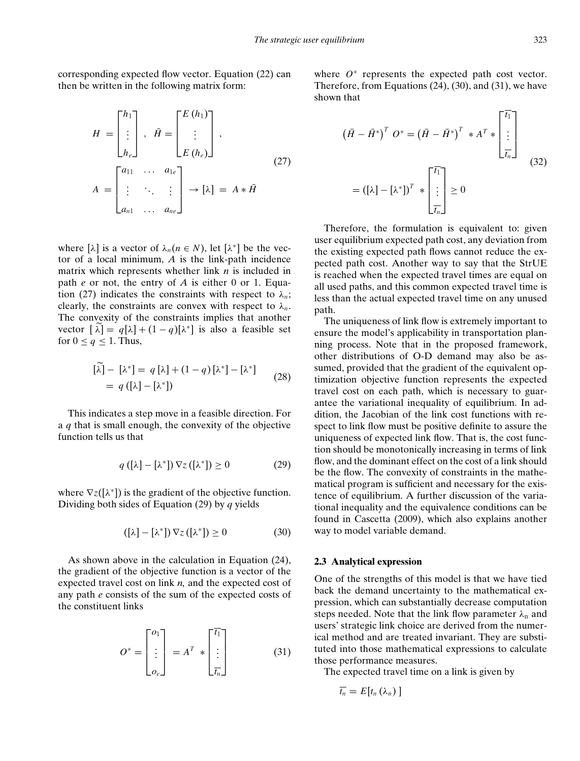corresponding expected flow vector. Equation (22) can then be written in the following matrix form:

$$
H = \begin{bmatrix} h_1 \\ \vdots \\ h_e \end{bmatrix}, \quad \bar{H} = \begin{bmatrix} E(h_1) \\ \vdots \\ E(h_e) \end{bmatrix},
$$
  
\n
$$
A = \begin{bmatrix} a_{11} & \cdots & a_{1e} \\ \vdots & \ddots & \vdots \\ a_{n1} & \cdots & a_{n e} \end{bmatrix} \rightarrow [\lambda] = A * \bar{H}
$$
 (27)

where  $[\lambda]$  is a vector of  $\lambda_n (n \in N)$ , let  $[\lambda^*]$  be the vector of a local minimum, *A* is the link-path incidence matrix which represents whether link *n* is included in path *e* or not, the entry of *A* is either 0 or 1. Equation (27) indicates the constraints with respect to  $\lambda_n$ ; clearly, the constraints are convex with respect to  $\lambda_n$ . The convexity of the constraints implies that another vector  $[\lambda] = q[\lambda] + (1-q)[\lambda^*]$  is also a feasible set for  $0 \leq q \leq 1$ . Thus,

$$
[\tilde{\lambda}] - [\lambda^*] = q [\lambda] + (1 - q) [\lambda^*] - [\lambda^*]
$$
  
=  $q ([\lambda] - [\lambda^*])$  (28)

This indicates a step move in a feasible direction. For a *q* that is small enough, the convexity of the objective function tells us that

$$
q([\lambda] - [\lambda^*]) \nabla z([\lambda^*]) \ge 0 \tag{29}
$$

where  $\nabla z([\lambda^*])$  is the gradient of the objective function. Dividing both sides of Equation (29) by *q* yields

$$
([\lambda] - [\lambda^*]) \nabla z ([\lambda^*]) \ge 0 \tag{30}
$$

As shown above in the calculation in Equation (24), the gradient of the objective function is a vector of the expected travel cost on link *n,* and the expected cost of any path *e* consists of the sum of the expected costs of the constituent links

$$
O^* = \begin{bmatrix} o_1 \\ \vdots \\ o_e \end{bmatrix} = A^T * \begin{bmatrix} \overline{t_1} \\ \vdots \\ \overline{t_n} \end{bmatrix}
$$
(31)

where  $O^*$  represents the expected path cost vector. Therefore, from Equations (24), (30), and (31), we have shown that

$$
\begin{aligned} \left(\bar{H} - \bar{H}^*\right)^T & O^* = \left(\bar{H} - \bar{H}^*\right)^T \ast A^T \ast \begin{bmatrix} \bar{t}_1 \\ \vdots \\ \bar{t}_n \end{bmatrix} \\ &= \left([\lambda] - [\lambda^*]\right)^T \ast \begin{bmatrix} \bar{t}_1 \\ \vdots \\ \bar{t}_n \end{bmatrix} \ge 0 \end{aligned} \tag{32}
$$

Therefore, the formulation is equivalent to: given user equilibrium expected path cost, any deviation from the existing expected path flows cannot reduce the expected path cost. Another way to say that the StrUE is reached when the expected travel times are equal on all used paths, and this common expected travel time is less than the actual expected travel time on any unused path.

The uniqueness of link flow is extremely important to ensure the model's applicability in transportation planning process. Note that in the proposed framework, other distributions of O-D demand may also be assumed, provided that the gradient of the equivalent optimization objective function represents the expected travel cost on each path, which is necessary to guarantee the variational inequality of equilibrium. In addition, the Jacobian of the link cost functions with respect to link flow must be positive definite to assure the uniqueness of expected link flow. That is, the cost function should be monotonically increasing in terms of link flow, and the dominant effect on the cost of a link should be the flow. The convexity of constraints in the mathematical program is sufficient and necessary for the existence of equilibrium. A further discussion of the variational inequality and the equivalence conditions can be found in Cascetta (2009), which also explains another way to model variable demand.

## **2.3 Analytical expression**

One of the strengths of this model is that we have tied back the demand uncertainty to the mathematical expression, which can substantially decrease computation steps needed. Note that the link flow parameter  $\lambda_n$  and users' strategic link choice are derived from the numerical method and are treated invariant. They are substituted into those mathematical expressions to calculate those performance measures.

The expected travel time on a link is given by

$$
\overline{t_n}=E[t_n(\lambda_n)]
$$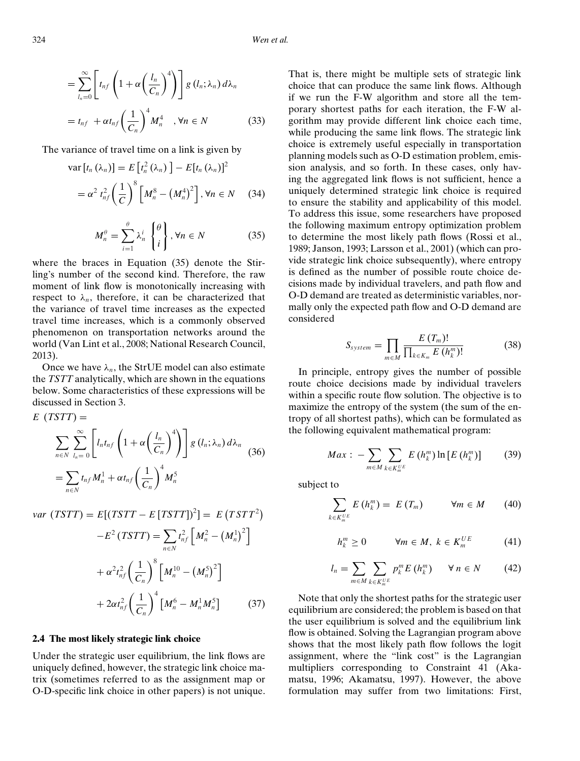324 *Wen et al.*

$$
= \sum_{l_n=0}^{\infty} \left[ t_{nf} \left( 1 + \alpha \left( \frac{l_n}{C_n} \right)^4 \right) \right] g(l_n; \lambda_n) d\lambda_n
$$
  

$$
= t_{nf} + \alpha t_{nf} \left( \frac{1}{C_n} \right)^4 M_n^4 \quad , \forall n \in N
$$
 (33)

The variance of travel time on a link is given by

$$
\operatorname{var}[t_{n}(\lambda_{n})] = E[t_{n}^{2}(\lambda_{n})] - E[t_{n}(\lambda_{n})]^{2}
$$

$$
= \alpha^{2} t_{n f}^{2} \left(\frac{1}{C}\right)^{8} \left[M_{n}^{8} - (M_{n}^{4})^{2}\right], \forall n \in N \quad (34)
$$

$$
M_n^{\theta} = \sum_{i=1}^{\theta} \lambda_n^i \begin{Bmatrix} \theta \\ i \end{Bmatrix}, \forall n \in N \tag{35}
$$

where the braces in Equation (35) denote the Stirling's number of the second kind. Therefore, the raw moment of link flow is monotonically increasing with respect to  $\lambda_n$ , therefore, it can be characterized that the variance of travel time increases as the expected travel time increases, which is a commonly observed phenomenon on transportation networks around the world (Van Lint et al., 2008; National Research Council, 2013).

Once we have  $\lambda_n$ , the StrUE model can also estimate the *TSTT* analytically, which are shown in the equations below. Some characteristics of these expressions will be discussed in Section 3.

$$
E (TSTT) =
$$
  
\n
$$
\sum_{n \in N} \sum_{l_n=0}^{\infty} \left[ l_n t_{n f} \left( 1 + \alpha \left( \frac{l_n}{C_n} \right)^4 \right) \right] g(l_n; \lambda_n) d\lambda_n
$$
  
\n
$$
= \sum_{n \in N} t_{n f} M_n^1 + \alpha t_{n f} \left( \frac{1}{C_n} \right)^4 M_n^5
$$
\n(36)

*var*  $(TSTT) = E[(TSTT - E[TSTT])^{2}] = E(TSTT^{2})$ 

$$
-E^2(TSTT) = \sum_{n \in N} t_{nf}^2 \left[ M_n^2 - \left( M_n^1 \right)^2 \right]
$$

$$
+ \alpha^2 t_{nf}^2 \left( \frac{1}{C_n} \right)^8 \left[ M_n^{10} - \left( M_n^5 \right)^2 \right]
$$

$$
+ 2\alpha t_{nf}^2 \left( \frac{1}{C_n} \right)^4 \left[ M_n^6 - M_n^1 M_n^5 \right] \tag{37}
$$

#### **2.4 The most likely strategic link choice**

Under the strategic user equilibrium, the link flows are uniquely defined, however, the strategic link choice matrix (sometimes referred to as the assignment map or O-D-specific link choice in other papers) is not unique. That is, there might be multiple sets of strategic link choice that can produce the same link flows. Although if we run the F-W algorithm and store all the temporary shortest paths for each iteration, the F-W algorithm may provide different link choice each time, while producing the same link flows. The strategic link choice is extremely useful especially in transportation planning models such as O-D estimation problem, emission analysis, and so forth. In these cases, only having the aggregated link flows is not sufficient, hence a uniquely determined strategic link choice is required to ensure the stability and applicability of this model. To address this issue, some researchers have proposed the following maximum entropy optimization problem to determine the most likely path flows (Rossi et al., 1989; Janson, 1993; Larsson et al., 2001) (which can provide strategic link choice subsequently), where entropy is defined as the number of possible route choice decisions made by individual travelers, and path flow and O-D demand are treated as deterministic variables, normally only the expected path flow and O-D demand are considered

$$
S_{system} = \prod_{m \in M} \frac{E(T_m)!}{\prod_{k \in K_m} E(h_k^m)!}
$$
(38)

In principle, entropy gives the number of possible route choice decisions made by individual travelers within a specific route flow solution. The objective is to maximize the entropy of the system (the sum of the entropy of all shortest paths), which can be formulated as the following equivalent mathematical program:

$$
Max: -\sum_{m \in M} \sum_{k \in K_m^{UE}} E\left(h_k^m\right) \ln \left[E\left(h_k^m\right)\right] \tag{39}
$$

subject to

$$
\sum_{k \in K_m^{UE}} E\left(h_k^m\right) = E\left(T_m\right) \qquad \forall m \in M \qquad (40)
$$

$$
h_k^m \ge 0 \qquad \forall m \in M, \ k \in K_m^{UE} \tag{41}
$$

$$
l_n = \sum_{m \in M} \sum_{k \in K_m^{UE}} p_k^m E\left(h_k^m\right) \quad \forall \, n \in N \tag{42}
$$

Note that only the shortest paths for the strategic user equilibrium are considered; the problem is based on that the user equilibrium is solved and the equilibrium link flow is obtained. Solving the Lagrangian program above shows that the most likely path flow follows the logit assignment, where the "link cost" is the Lagrangian multipliers corresponding to Constraint 41 (Akamatsu, 1996; Akamatsu, 1997). However, the above formulation may suffer from two limitations: First,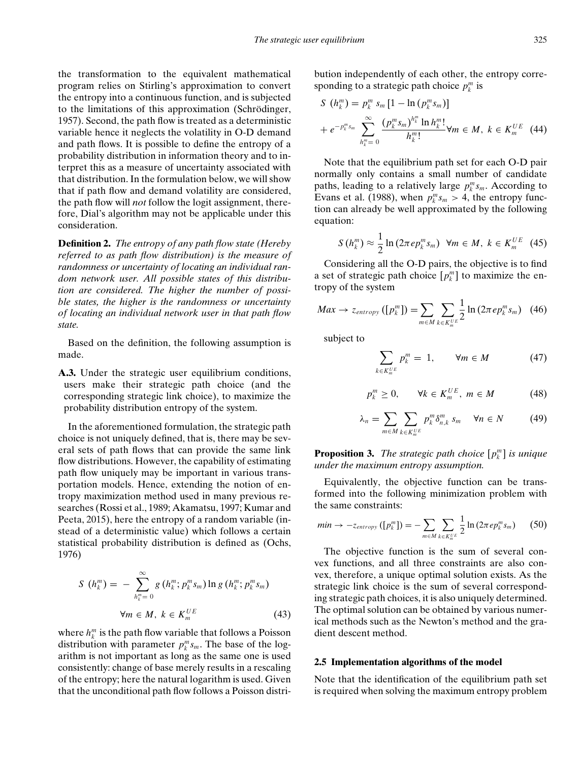the transformation to the equivalent mathematical program relies on Stirling's approximation to convert the entropy into a continuous function, and is subjected to the limitations of this approximation (Schrödinger, 1957). Second, the path flow is treated as a deterministic variable hence it neglects the volatility in O-D demand and path flows. It is possible to define the entropy of a probability distribution in information theory and to interpret this as a measure of uncertainty associated with that distribution. In the formulation below, we will show that if path flow and demand volatility are considered, the path flow will *not* follow the logit assignment, therefore, Dial's algorithm may not be applicable under this consideration.

**Definition 2.** *The entropy of any path flow state (Hereby referred to as path flow distribution) is the measure of randomness or uncertainty of locating an individual random network user. All possible states of this distribution are considered. The higher the number of possible states, the higher is the randomness or uncertainty of locating an individual network user in that path flow state.*

Based on the definition, the following assumption is made.

**A.3.** Under the strategic user equilibrium conditions, users make their strategic path choice (and the corresponding strategic link choice), to maximize the probability distribution entropy of the system.

In the aforementioned formulation, the strategic path choice is not uniquely defined, that is, there may be several sets of path flows that can provide the same link flow distributions. However, the capability of estimating path flow uniquely may be important in various transportation models. Hence, extending the notion of entropy maximization method used in many previous researches (Rossi et al., 1989; Akamatsu, 1997; Kumar and Peeta, 2015), here the entropy of a random variable (instead of a deterministic value) which follows a certain statistical probability distribution is defined as (Ochs, 1976)

$$
S(h_k^m) = -\sum_{h_k^m=0}^{\infty} g(h_k^m; p_k^m s_m) \ln g(h_k^m; p_k^m s_m)
$$
  

$$
\forall m \in M, k \in K_m^{UE}
$$
 (43)

where  $h_k^m$  is the path flow variable that follows a Poisson distribution with parameter  $p_k^m s_m$ . The base of the logarithm is not important as long as the same one is used consistently: change of base merely results in a rescaling of the entropy; here the natural logarithm is used. Given that the unconditional path flow follows a Poisson distribution independently of each other, the entropy corresponding to a strategic path choice  $p_k^m$  is

$$
S\ (h_k^m) = p_k^m s_m \left[1 - \ln(p_k^m s_m)\right]
$$
  
+  $e^{-p_k^m s_m} \sum_{h_k^m=0}^{\infty} \frac{(p_k^m s_m)^{h_k^m} \ln h_k^m!}{h_k^m!} \forall m \in M, k \in K_m^{UE}$  (44)

Note that the equilibrium path set for each O-D pair normally only contains a small number of candidate paths, leading to a relatively large  $p_k^m s_m$ . According to Evans et al. (1988), when  $p_k^m s_m > 4$ , the entropy function can already be well approximated by the following equation:

$$
S\left(h_k^m\right) \approx \frac{1}{2}\ln\left(2\pi e p_k^m s_m\right) \ \ \forall m \in M, \ k \in K_m^{UE} \ \ (45)
$$

Considering all the O-D pairs, the objective is to find a set of strategic path choice  $[p_k^m]$  to maximize the entropy of the system

$$
Max \rightarrow z_{entropy}([p_k^m]) = \sum_{m \in M} \sum_{k \in K_m^{UE}} \frac{1}{2} \ln \left( 2\pi e p_k^m s_m \right) \tag{46}
$$

subject to

$$
\sum_{k \in K_m^{UE}} p_k^m = 1, \qquad \forall m \in M \tag{47}
$$

$$
p_k^m \ge 0, \qquad \forall k \in K_m^{UE}, \ m \in M \tag{48}
$$

$$
\lambda_n = \sum_{m \in M} \sum_{k \in K_m^{UE}} p_k^m \delta_{n,k}^m \quad \forall n \in N \tag{49}
$$

**Proposition 3.** *The strategic path choice*  $[p_k^m]$  *is unique under the maximum entropy assumption.*

Equivalently, the objective function can be transformed into the following minimization problem with the same constraints:

$$
min \rightarrow -z_{entropy}([p_k^m]) = -\sum_{m \in M} \sum_{k \in K_m^{UE}} \frac{1}{2} \ln \left( 2\pi e p_k^m s_m \right) \quad (50)
$$

The objective function is the sum of several convex functions, and all three constraints are also convex, therefore, a unique optimal solution exists. As the strategic link choice is the sum of several corresponding strategic path choices, it is also uniquely determined. The optimal solution can be obtained by various numerical methods such as the Newton's method and the gradient descent method.

## **2.5 Implementation algorithms of the model**

Note that the identification of the equilibrium path set is required when solving the maximum entropy problem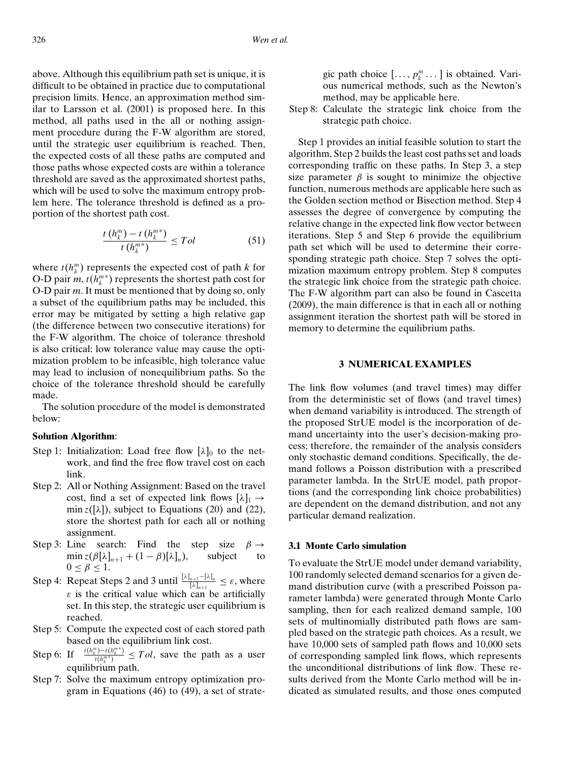above. Although this equilibrium path set is unique, it is difficult to be obtained in practice due to computational precision limits. Hence, an approximation method similar to Larsson et al. (2001) is proposed here. In this method, all paths used in the all or nothing assignment procedure during the F-W algorithm are stored, until the strategic user equilibrium is reached. Then, the expected costs of all these paths are computed and those paths whose expected costs are within a tolerance threshold are saved as the approximated shortest paths, which will be used to solve the maximum entropy problem here. The tolerance threshold is defined as a proportion of the shortest path cost.

$$
\frac{t\left(h_k^m\right) - t\left(h_k^{m*}\right)}{t\left(h_k^{m*}\right)} \leq Tol \tag{51}
$$

where  $t(h_k^m)$  represents the expected cost of path *k* for O-D pair  $m$ ,  $t(h_k^{m*})$  represents the shortest path cost for O-D pair *m*. It must be mentioned that by doing so, only a subset of the equilibrium paths may be included, this error may be mitigated by setting a high relative gap (the difference between two consecutive iterations) for the F-W algorithm. The choice of tolerance threshold is also critical: low tolerance value may cause the optimization problem to be infeasible, high tolerance value may lead to inclusion of nonequilibrium paths. So the choice of the tolerance threshold should be carefully made.

The solution procedure of the model is demonstrated below:

## **Solution Algorithm**:

- Step 1: Initialization: Load free flow  $[\lambda]_0$  to the network, and find the free flow travel cost on each link.
- Step 2: All or Nothing Assignment: Based on the travel cost, find a set of expected link flows  $[\lambda]_1 \rightarrow$ min  $z([\lambda])$ , subject to Equations (20) and (22), store the shortest path for each all or nothing assignment.
- Step 3: Line search: Find the step size  $\beta \rightarrow$ <br>min  $z(\beta[\lambda]_{n+1} + (1-\beta)[\lambda]_n)$ , subject to  $\min z(\beta[\lambda]_{n+1} + (1-\beta)[\lambda]_n),$  $0 < \beta < 1$ .
- Step 4: Repeat Steps 2 and 3 until  $\frac{[\lambda]_{n+1}-[\lambda]_n}{[\lambda]_{n+1}} \leq \varepsilon$ , where  $\varepsilon$  is the critical value which can be artificially set. In this step, the strategic user equilibrium is reached.
- Step 5: Compute the expected cost of each stored path based on the equilibrium link cost.
- Step 6: If  $\frac{m}{t(h_k^m*)}$   $\leq Tol$ , save the path as a user equilibrium path.
- Step 7: Solve the maximum entropy optimization program in Equations (46) to (49), a set of strate-

gic path choice 
$$
[\ldots, p_k^m \ldots]
$$
 is obtained. Various numerical methods, such as the Newton's method, may be applicable here.

Step 8: Calculate the strategic link choice from the strategic path choice.

Step 1 provides an initial feasible solution to start the algorithm, Step 2 builds the least cost paths set and loads corresponding traffic on these paths. In Step 3, a step size parameter  $\beta$  is sought to minimize the objective function, numerous methods are applicable here such as the Golden section method or Bisection method. Step 4 assesses the degree of convergence by computing the relative change in the expected link flow vector between iterations. Step 5 and Step 6 provide the equilibrium path set which will be used to determine their corresponding strategic path choice. Step 7 solves the optimization maximum entropy problem. Step 8 computes the strategic link choice from the strategic path choice. The F-W algorithm part can also be found in Cascetta (2009), the main difference is that in each all or nothing assignment iteration the shortest path will be stored in memory to determine the equilibrium paths.

### **3 NUMERICAL EXAMPLES**

The link flow volumes (and travel times) may differ from the deterministic set of flows (and travel times) when demand variability is introduced. The strength of the proposed StrUE model is the incorporation of demand uncertainty into the user's decision-making process; therefore, the remainder of the analysis considers only stochastic demand conditions. Specifically, the demand follows a Poisson distribution with a prescribed parameter lambda. In the StrUE model, path proportions (and the corresponding link choice probabilities) are dependent on the demand distribution, and not any particular demand realization.

#### **3.1 Monte Carlo simulation**

To evaluate the StrUE model under demand variability, 100 randomly selected demand scenarios for a given demand distribution curve (with a prescribed Poisson parameter lambda) were generated through Monte Carlo sampling, then for each realized demand sample, 100 sets of multinomially distributed path flows are sampled based on the strategic path choices. As a result, we have 10,000 sets of sampled path flows and 10,000 sets of corresponding sampled link flows, which represents the unconditional distributions of link flow. These results derived from the Monte Carlo method will be indicated as simulated results, and those ones computed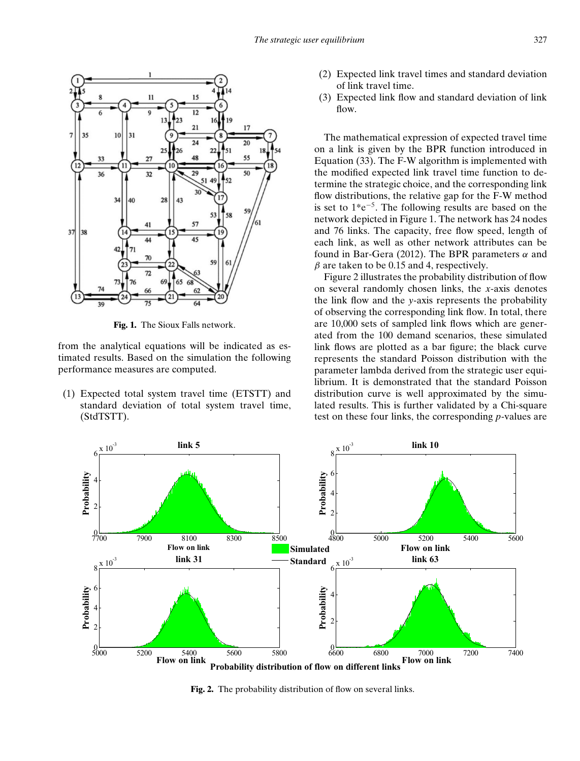

**Fig. 1.** The Sioux Falls network.

from the analytical equations will be indicated as estimated results. Based on the simulation the following performance measures are computed.

(1) Expected total system travel time (ETSTT) and standard deviation of total system travel time, (StdTSTT).

- (2) Expected link travel times and standard deviation of link travel time.
- (3) Expected link flow and standard deviation of link flow.

The mathematical expression of expected travel time on a link is given by the BPR function introduced in Equation (33). The F-W algorithm is implemented with the modified expected link travel time function to determine the strategic choice, and the corresponding link flow distributions, the relative gap for the F-W method is set to 1\*e−5. The following results are based on the network depicted in Figure 1. The network has 24 nodes and 76 links. The capacity, free flow speed, length of each link, as well as other network attributes can be found in Bar-Gera (2012). The BPR parameters  $\alpha$  and  $\beta$  are taken to be 0.15 and 4, respectively.

Figure 2 illustrates the probability distribution of flow on several randomly chosen links, the *x*-axis denotes the link flow and the *y*-axis represents the probability of observing the corresponding link flow. In total, there are 10,000 sets of sampled link flows which are generated from the 100 demand scenarios, these simulated link flows are plotted as a bar figure; the black curve represents the standard Poisson distribution with the parameter lambda derived from the strategic user equilibrium. It is demonstrated that the standard Poisson distribution curve is well approximated by the simulated results. This is further validated by a Chi-square test on these four links, the corresponding *p*-values are



**Fig. 2.** The probability distribution of flow on several links.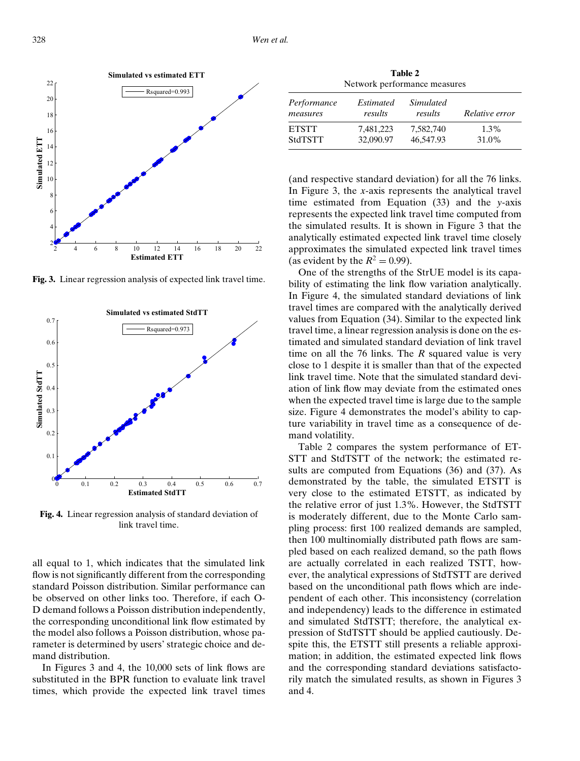

**Fig. 3.** Linear regression analysis of expected link travel time.



**Fig. 4.** Linear regression analysis of standard deviation of link travel time.

all equal to 1, which indicates that the simulated link flow is not significantly different from the corresponding standard Poisson distribution. Similar performance can be observed on other links too. Therefore, if each O-D demand follows a Poisson distribution independently, the corresponding unconditional link flow estimated by the model also follows a Poisson distribution, whose parameter is determined by users' strategic choice and demand distribution.

In Figures 3 and 4, the 10,000 sets of link flows are substituted in the BPR function to evaluate link travel times, which provide the expected link travel times

**Table 2** Network performance measures

| Performance<br>measures | Estimated<br>results | <i>Simulated</i><br>results | Relative error |
|-------------------------|----------------------|-----------------------------|----------------|
| <b>ETSTT</b>            | 7,481,223            | 7.582.740                   | $1.3\%$        |
| <b>StdTSTT</b>          | 32,090.97            | 46,547.93                   | 31.0%          |

(and respective standard deviation) for all the 76 links. In Figure 3, the *x*-axis represents the analytical travel time estimated from Equation (33) and the *y*-axis represents the expected link travel time computed from the simulated results. It is shown in Figure 3 that the analytically estimated expected link travel time closely approximates the simulated expected link travel times (as evident by the  $R^2 = 0.99$ ).

One of the strengths of the StrUE model is its capability of estimating the link flow variation analytically. In Figure 4, the simulated standard deviations of link travel times are compared with the analytically derived values from Equation (34). Similar to the expected link travel time, a linear regression analysis is done on the estimated and simulated standard deviation of link travel time on all the 76 links. The *R* squared value is very close to 1 despite it is smaller than that of the expected link travel time. Note that the simulated standard deviation of link flow may deviate from the estimated ones when the expected travel time is large due to the sample size. Figure 4 demonstrates the model's ability to capture variability in travel time as a consequence of demand volatility.

Table 2 compares the system performance of ET-STT and StdTSTT of the network; the estimated results are computed from Equations (36) and (37). As demonstrated by the table, the simulated ETSTT is very close to the estimated ETSTT, as indicated by the relative error of just 1.3%. However, the StdTSTT is moderately different, due to the Monte Carlo sampling process: first 100 realized demands are sampled, then 100 multinomially distributed path flows are sampled based on each realized demand, so the path flows are actually correlated in each realized TSTT, however, the analytical expressions of StdTSTT are derived based on the unconditional path flows which are independent of each other. This inconsistency (correlation and independency) leads to the difference in estimated and simulated StdTSTT; therefore, the analytical expression of StdTSTT should be applied cautiously. Despite this, the ETSTT still presents a reliable approximation; in addition, the estimated expected link flows and the corresponding standard deviations satisfactorily match the simulated results, as shown in Figures 3 and 4.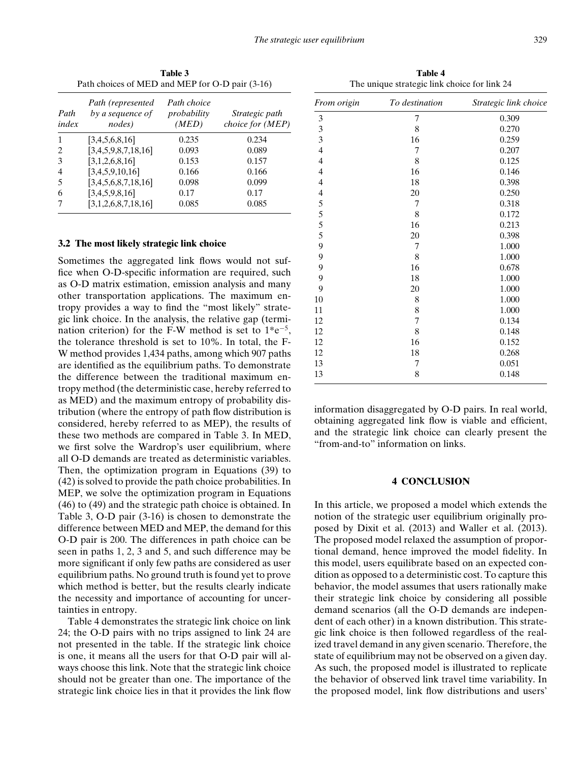| Path choices of MED and MEP for O-D pair (3-16) |                                                 |                                     |                                    |  |
|-------------------------------------------------|-------------------------------------------------|-------------------------------------|------------------------------------|--|
| Path<br>index                                   | Path (represented<br>by a sequence of<br>nodes) | Path choice<br>probability<br>(MED) | Strategic path<br>choice for (MEP) |  |
| 1                                               | [3,4,5,6,8,16]                                  | 0.235                               | 0.234                              |  |
|                                                 | [3,4,5,9,8,7,18,16]                             | 0.093                               | 0.089                              |  |
| 3                                               | [3,1,2,6,8,16]                                  | 0.153                               | 0.157                              |  |
| 4                                               | [3,4,5,9,10,16]                                 | 0.166                               | 0.166                              |  |
| 5                                               | [3,4,5,6,8,7,18,16]                             | 0.098                               | 0.099                              |  |
| 6                                               | [3,4,5,9,8,16]                                  | 0.17                                | 0.17                               |  |
|                                                 | [3,1,2,6,8,7,18,16]                             | 0.085                               | 0.085                              |  |

**Table 3**

#### **3.2 The most likely strategic link choice**

Sometimes the aggregated link flows would not suffice when O-D-specific information are required, such as O-D matrix estimation, emission analysis and many other transportation applications. The maximum entropy provides a way to find the "most likely" strategic link choice. In the analysis, the relative gap (termination criterion) for the F-W method is set to  $1*e^{-5}$ , the tolerance threshold is set to 10%. In total, the F-W method provides 1,434 paths, among which 907 paths are identified as the equilibrium paths. To demonstrate the difference between the traditional maximum entropy method (the deterministic case, hereby referred to as MED) and the maximum entropy of probability distribution (where the entropy of path flow distribution is considered, hereby referred to as MEP), the results of these two methods are compared in Table 3. In MED, we first solve the Wardrop's user equilibrium, where all O-D demands are treated as deterministic variables. Then, the optimization program in Equations (39) to (42) is solved to provide the path choice probabilities. In MEP, we solve the optimization program in Equations (46) to (49) and the strategic path choice is obtained. In Table 3, O-D pair (3-16) is chosen to demonstrate the difference between MED and MEP, the demand for this O-D pair is 200. The differences in path choice can be seen in paths 1, 2, 3 and 5, and such difference may be more significant if only few paths are considered as user equilibrium paths. No ground truth is found yet to prove which method is better, but the results clearly indicate the necessity and importance of accounting for uncertainties in entropy.

Table 4 demonstrates the strategic link choice on link 24; the O-D pairs with no trips assigned to link 24 are not presented in the table. If the strategic link choice is one, it means all the users for that O-D pair will always choose this link. Note that the strategic link choice should not be greater than one. The importance of the strategic link choice lies in that it provides the link flow

**Table 4** The unique strategic link choice for link 24

| From origin              | To destination | Strategic link choice |
|--------------------------|----------------|-----------------------|
| 3                        | 7              | 0.309                 |
| 3                        | 8              | 0.270                 |
| 3                        | 16             | 0.259                 |
| $\overline{\mathbf{4}}$  | 7              | 0.207                 |
| $\overline{\mathbf{4}}$  | 8              | 0.125                 |
| 4                        | 16             | 0.146                 |
| 4                        | 18             | 0.398                 |
| $\overline{\mathcal{L}}$ | 20             | 0.250                 |
| 5                        | 7              | 0.318                 |
| 5                        | 8              | 0.172                 |
| 5                        | 16             | 0.213                 |
| 5                        | 20             | 0.398                 |
| 9                        | 7              | 1.000                 |
| 9                        | 8              | 1.000                 |
| 9                        | 16             | 0.678                 |
| 9                        | 18             | 1.000                 |
| 9                        | 20             | 1.000                 |
| 10                       | 8              | 1.000                 |
| 11                       | 8              | 1.000                 |
| 12                       | 7              | 0.134                 |
| 12                       | 8              | 0.148                 |
| 12                       | 16             | 0.152                 |
| 12                       | 18             | 0.268                 |
| 13                       | 7              | 0.051                 |
| 13                       | 8              | 0.148                 |

information disaggregated by O-D pairs. In real world, obtaining aggregated link flow is viable and efficient, and the strategic link choice can clearly present the "from-and-to" information on links.

#### **4 CONCLUSION**

In this article, we proposed a model which extends the notion of the strategic user equilibrium originally proposed by Dixit et al. (2013) and Waller et al. (2013). The proposed model relaxed the assumption of proportional demand, hence improved the model fidelity. In this model, users equilibrate based on an expected condition as opposed to a deterministic cost. To capture this behavior, the model assumes that users rationally make their strategic link choice by considering all possible demand scenarios (all the O-D demands are independent of each other) in a known distribution. This strategic link choice is then followed regardless of the realized travel demand in any given scenario. Therefore, the state of equilibrium may not be observed on a given day. As such, the proposed model is illustrated to replicate the behavior of observed link travel time variability. In the proposed model, link flow distributions and users'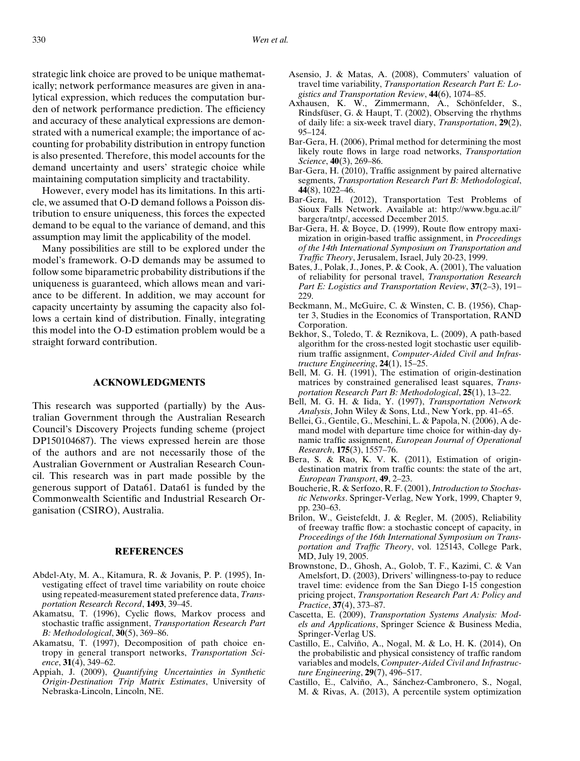strategic link choice are proved to be unique mathematically; network performance measures are given in analytical expression, which reduces the computation burden of network performance prediction. The efficiency and accuracy of these analytical expressions are demonstrated with a numerical example; the importance of accounting for probability distribution in entropy function is also presented. Therefore, this model accounts for the demand uncertainty and users' strategic choice while maintaining computation simplicity and tractability.

However, every model has its limitations. In this article, we assumed that O-D demand follows a Poisson distribution to ensure uniqueness, this forces the expected demand to be equal to the variance of demand, and this assumption may limit the applicability of the model.

Many possibilities are still to be explored under the model's framework. O-D demands may be assumed to follow some biparametric probability distributions if the uniqueness is guaranteed, which allows mean and variance to be different. In addition, we may account for capacity uncertainty by assuming the capacity also follows a certain kind of distribution. Finally, integrating this model into the O-D estimation problem would be a straight forward contribution.

#### **ACKNOWLEDGMENTS**

This research was supported (partially) by the Australian Government through the Australian Research Council's Discovery Projects funding scheme (project DP150104687). The views expressed herein are those of the authors and are not necessarily those of the Australian Government or Australian Research Council. This research was in part made possible by the generous support of Data61. Data61 is funded by the Commonwealth Scientific and Industrial Research Organisation (CSIRO), Australia.

## **REFERENCES**

- Abdel-Aty, M. A., Kitamura, R. & Jovanis, P. P. (1995), Investigating effect of travel time variability on route choice using repeated-measurement stated preference data, *Transportation Research Record*, **1493**, 39–45.
- Akamatsu, T. (1996), Cyclic flows, Markov process and stochastic traffic assignment, *Transportation Research Part B: Methodological*, **30**(5), 369–86.
- Akamatsu, T. (1997), Decomposition of path choice entropy in general transport networks, *Transportation Science*, **31**(4), 349–62.
- Appiah, J. (2009), *Quantifying Uncertainties in Synthetic Origin-Destination Trip Matrix Estimates*, University of Nebraska-Lincoln, Lincoln, NE.
- Asensio, J. & Matas, A. (2008), Commuters' valuation of travel time variability, *Transportation Research Part E: Logistics and Transportation Review*, **44**(6), 1074–85.
- Axhausen, K. W., Zimmermann, A., Schönfelder, S., Rindsfüser, G. & Haupt, T. (2002), Observing the rhythms of daily life: a six-week travel diary, *Transportation*, **29**(2), 95–124.
- Bar-Gera, H. (2006), Primal method for determining the most likely route flows in large road networks, *Transportation Science*, **40**(3), 269–86.
- Bar-Gera, H. (2010), Traffic assignment by paired alternative segments, *Transportation Research Part B: Methodological*, **44**(8), 1022–46.
- Bar-Gera, H. (2012), Transportation Test Problems of Sioux Falls Network. Available at: http://www.bgu.ac.il/˜ bargera/tntp/, accessed December 2015.
- Bar-Gera, H. & Boyce, D. (1999), Route flow entropy maximization in origin-based traffic assignment, in *Proceedings of the 14th International Symposium on Transportation and Traffic Theory*, Jerusalem, Israel, July 20-23, 1999.
- Bates, J., Polak, J., Jones, P. & Cook, A. (2001), The valuation of reliability for personal travel, *Transportation Research Part E: Logistics and Transportation Review*, **37**(2–3), 191– 229.
- Beckmann, M., McGuire, C. & Winsten, C. B. (1956), Chapter 3, Studies in the Economics of Transportation, RAND Corporation.
- Bekhor, S., Toledo, T. & Reznikova, L. (2009), A path-based algorithm for the cross-nested logit stochastic user equilibrium traffic assignment, *Computer-Aided Civil and Infrastructure Engineering*, **24**(1), 15–25.
- Bell, M. G. H. (1991), The estimation of origin-destination matrices by constrained generalised least squares, *Transportation Research Part B: Methodological*, **25**(1), 13–22.
- Bell, M. G. H. & Iida, Y. (1997), *Transportation Network Analysis*, John Wiley & Sons, Ltd., New York, pp. 41–65.
- Bellei, G., Gentile, G., Meschini, L. & Papola, N. (2006), A demand model with departure time choice for within-day dynamic traffic assignment, *European Journal of Operational Research*, **175**(3), 1557–76.
- Bera, S. & Rao, K. V. K. (2011), Estimation of origindestination matrix from traffic counts: the state of the art, *European Transport*, **49**, 2–23.
- Boucherie, R. & Serfozo, R. F. (2001),*Introduction to Stochastic Networks*. Springer-Verlag, New York, 1999, Chapter 9, pp. 230–63.
- Brilon, W., Geistefeldt, J. & Regler, M. (2005), Reliability of freeway traffic flow: a stochastic concept of capacity, in *Proceedings of the 16th International Symposium on Transportation and Traffic Theory*, vol. 125143, College Park, MD, July 19, 2005.
- Brownstone, D., Ghosh, A., Golob, T. F., Kazimi, C. & Van Amelsfort, D. (2003), Drivers' willingness-to-pay to reduce travel time: evidence from the San Diego I-15 congestion pricing project, *Transportation Research Part A: Policy and Practice*, **37**(4), 373–87.
- Cascetta, E. (2009), *Transportation Systems Analysis: Models and Applications*, Springer Science & Business Media, Springer-Verlag US.
- Castillo, E., Calviño, A., Nogal, M. & Lo, H. K. (2014), On the probabilistic and physical consistency of traffic random variables and models, *Computer-Aided Civil and Infrastructure Engineering*, **29**(7), 496–517.
- Castillo, E., Calviño, A., Sánchez-Cambronero, S., Nogal, M. & Rivas, A. (2013), A percentile system optimization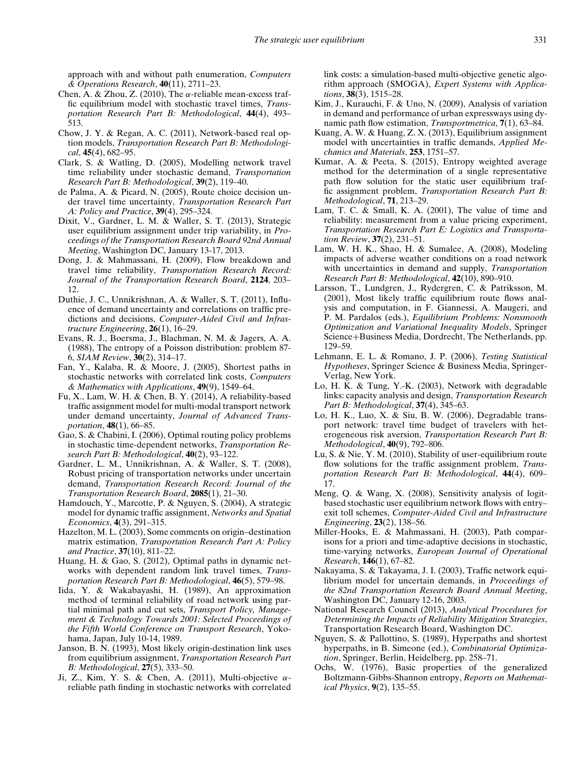approach with and without path enumeration, *Computers & Operations Research*, **40**(11), 2711–23.

- Chen, A. & Zhou, Z. (2010), The  $\alpha$ -reliable mean-excess traffic equilibrium model with stochastic travel times, *Transportation Research Part B: Methodological*, **44**(4), 493– 513.
- Chow, J. Y. & Regan, A. C. (2011), Network-based real option models, *Transportation Research Part B: Methodological*, **45**(4), 682–95.
- Clark, S. & Watling, D. (2005), Modelling network travel time reliability under stochastic demand, *Transportation Research Part B: Methodological*, **39**(2), 119–40.
- de Palma, A. & Picard, N. (2005), Route choice decision under travel time uncertainty, *Transportation Research Part A: Policy and Practice*, **39**(4), 295–324.
- Dixit, V., Gardner, L. M. & Waller, S. T. (2013), Strategic user equilibrium assignment under trip variability, in *Proceedings of the Transportation Research Board 92nd Annual Meeting*, Washington DC, January 13-17, 2013.
- Dong, J. & Mahmassani, H. (2009), Flow breakdown and travel time reliability, *Transportation Research Record: Journal of the Transportation Research Board*, **2124**, 203– 12.
- Duthie, J. C., Unnikrishnan, A. & Waller, S. T. (2011), Influence of demand uncertainty and correlations on traffic predictions and decisions, *Computer-Aided Civil and Infrastructure Engineering*, **26**(1), 16–29.
- Evans, R. J., Boersma, J., Blachman, N. M. & Jagers, A. A. (1988), The entropy of a Poisson distribution: problem 87- 6, *SIAM Review*, **30**(2), 314–17.
- Fan, Y., Kalaba, R. & Moore, J. (2005), Shortest paths in stochastic networks with correlated link costs, *Computers & Mathematics with Applications*, **49**(9), 1549–64.
- Fu, X., Lam, W. H. & Chen, B. Y. (2014), A reliability-based traffic assignment model for multi-modal transport network under demand uncertainty, *Journal of Advanced Transportation*, **48**(1), 66–85.
- Gao, S. & Chabini, I. (2006), Optimal routing policy problems in stochastic time-dependent networks, *Transportation Research Part B: Methodological*, **40**(2), 93–122.
- Gardner, L. M., Unnikrishnan, A. & Waller, S. T. (2008), Robust pricing of transportation networks under uncertain demand, *Transportation Research Record: Journal of the Transportation Research Board*, **2085**(1), 21–30.
- Hamdouch, Y., Marcotte, P. & Nguyen, S. (2004), A strategic model for dynamic traffic assignment, *Networks and Spatial Economics*, **4**(3), 291–315.
- Hazelton, M. L. (2003), Some comments on origin–destination matrix estimation, *Transportation Research Part A: Policy and Practice*, **37**(10), 811–22.
- Huang, H. & Gao, S. (2012), Optimal paths in dynamic networks with dependent random link travel times, *Transportation Research Part B: Methodological*, **46**(5), 579–98.
- Iida, Y. & Wakabayashi, H. (1989), An approximation method of terminal reliability of road network using partial minimal path and cut sets, *Transport Policy, Management & Technology Towards 2001: Selected Proceedings of the Fifth World Conference on Transport Research*, Yokohama, Japan, July 10-14, 1989.
- Janson, B. N. (1993), Most likely origin-destination link uses from equilibrium assignment, *Transportation Research Part B: Methodological*, **27**(5), 333–50.
- Ji, Z., Kim, Y. S. & Chen, A. (2011), Multi-objective  $\alpha$ reliable path finding in stochastic networks with correlated

link costs: a simulation-based multi-objective genetic algorithm approach (SMOGA), *Expert Systems with Applications*, **38**(3), 1515–28.

- Kim, J., Kurauchi, F. & Uno, N. (2009), Analysis of variation in demand and performance of urban expressways using dynamic path flow estimation, *Transportmetrica*, **7**(1), 63–84.
- Kuang, A. W. & Huang, Z. X. (2013), Equilibrium assignment model with uncertainties in traffic demands, *Applied Mechanics and Materials*, **253**, 1751–57.
- Kumar, A. & Peeta, S. (2015), Entropy weighted average method for the determination of a single representative path flow solution for the static user equilibrium traffic assignment problem, *Transportation Research Part B: Methodological*, **71**, 213–29.
- Lam, T. C.  $\&$  Small, K. A. (2001), The value of time and reliability: measurement from a value pricing experiment, *Transportation Research Part E: Logistics and Transportation Review*, **37**(2), 231–51.
- Lam, W. H. K., Shao, H. & Sumalee, A. (2008), Modeling impacts of adverse weather conditions on a road network with uncertainties in demand and supply, *Transportation Research Part B: Methodological*, **42**(10), 890–910.
- Larsson, T., Lundgren, J., Rydergren, C. & Patriksson, M. (2001), Most likely traffic equilibrium route flows analysis and computation, in F. Giannessi, A. Maugeri, and P. M. Pardalos (eds.), *Equilibrium Problems: Nonsmooth Optimization and Variational Inequality Models*, Springer Science+Business Media, Dordrecht, The Netherlands, pp. 129–59.
- Lehmann, E. L. & Romano, J. P. (2006), *Testing Statistical Hypotheses*, Springer Science & Business Media, Springer-Verlag, New York.
- Lo, H. K. & Tung, Y.-K. (2003), Network with degradable links: capacity analysis and design, *Transportation Research Part B: Methodological*, **37**(4), 345–63.
- Lo, H. K., Luo, X. & Siu, B. W. (2006), Degradable transport network: travel time budget of travelers with heterogeneous risk aversion, *Transportation Research Part B: Methodological*, **40**(9), 792–806.
- Lu, S. & Nie, Y. M. (2010), Stability of user-equilibrium route flow solutions for the traffic assignment problem, *Transportation Research Part B: Methodological*, **44**(4), 609– 17.
- Meng, Q. & Wang, X. (2008), Sensitivity analysis of logitbased stochastic user equilibrium network flows with entry– exit toll schemes, *Computer-Aided Civil and Infrastructure Engineering*, **23**(2), 138–56.
- Miller-Hooks, E. & Mahmassani, H. (2003), Path comparisons for a priori and time-adaptive decisions in stochastic, time-varying networks, *European Journal of Operational Research*, **146**(1), 67–82.
- Nakayama, S. & Takayama, J. I. (2003), Traffic network equilibrium model for uncertain demands, in *Proceedings of the 82nd Transportation Research Board Annual Meeting*, Washington DC, January 12-16, 2003.
- National Research Council (2013), *Analytical Procedures for Determining the Impacts of Reliability Mitigation Strategies*, Transportation Research Board, Washington DC.
- Nguyen, S. & Pallottino, S. (1989), Hyperpaths and shortest hyperpaths, in B. Simeone (ed.), *Combinatorial Optimization*, Springer, Berlin, Heidelberg, pp. 258–71.
- Ochs, W. (1976), Basic properties of the generalized Boltzmann-Gibbs-Shannon entropy, *Reports on Mathematical Physics*, **9**(2), 135–55.